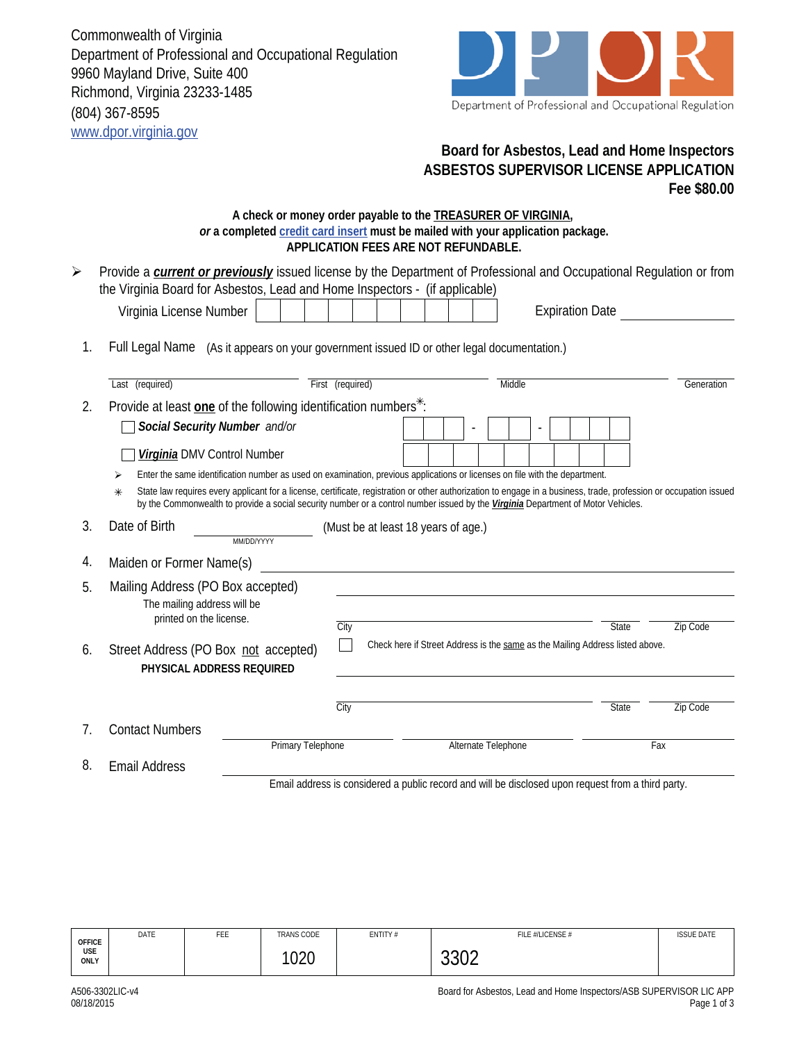Commonwealth of Virginia Department of Professional and Occupational Regulation 9960 Mayland Drive, Suite 400 Richmond, Virginia 23233-1485 (804) 367-8595 www.dpor.virginia.gov



## **Board for Asbestos, Lead and Home Inspectors ASBESTOS SUPERVISOR LICENSE APPLICATION Fee \$80.00**

## **A check or money order payable to the TREASURER OF VIRGINIA,**  *or* **a completed credit card insert must be mailed with your application package. APPLICATION FEES ARE NOT REFUNDABLE.**

| $\blacktriangleright$ | Provide a <i>current or previously</i> issued license by the Department of Professional and Occupational Regulation or from<br>the Virginia Board for Asbestos, Lead and Home Inspectors - (if applicable)                                                                                                       |                  |                                     |  |  |  |  |                                                                                                    |              |                 |
|-----------------------|------------------------------------------------------------------------------------------------------------------------------------------------------------------------------------------------------------------------------------------------------------------------------------------------------------------|------------------|-------------------------------------|--|--|--|--|----------------------------------------------------------------------------------------------------|--------------|-----------------|
|                       | Virginia License Number                                                                                                                                                                                                                                                                                          |                  |                                     |  |  |  |  | <b>Expiration Date</b>                                                                             |              |                 |
| 1.                    | Full Legal Name (As it appears on your government issued ID or other legal documentation.)                                                                                                                                                                                                                       |                  |                                     |  |  |  |  |                                                                                                    |              |                 |
|                       | Last (required)                                                                                                                                                                                                                                                                                                  | First (required) |                                     |  |  |  |  | Middle                                                                                             |              | Generation      |
| 2.                    | Provide at least one of the following identification numbers <sup>*</sup> :                                                                                                                                                                                                                                      |                  |                                     |  |  |  |  |                                                                                                    |              |                 |
|                       | Social Security Number and/or                                                                                                                                                                                                                                                                                    |                  |                                     |  |  |  |  |                                                                                                    |              |                 |
|                       | Virginia DMV Control Number                                                                                                                                                                                                                                                                                      |                  |                                     |  |  |  |  |                                                                                                    |              |                 |
|                       | Enter the same identification number as used on examination, previous applications or licenses on file with the department.<br>⋗                                                                                                                                                                                 |                  |                                     |  |  |  |  |                                                                                                    |              |                 |
|                       | State law requires every applicant for a license, certificate, registration or other authorization to engage in a business, trade, profession or occupation issued<br>$\ast$<br>by the Commonwealth to provide a social security number or a control number issued by the Virginia Department of Motor Vehicles. |                  |                                     |  |  |  |  |                                                                                                    |              |                 |
| 3.                    | Date of Birth<br>MM/DD/YYYY                                                                                                                                                                                                                                                                                      |                  | (Must be at least 18 years of age.) |  |  |  |  |                                                                                                    |              |                 |
| 4.                    | Maiden or Former Name(s)                                                                                                                                                                                                                                                                                         |                  |                                     |  |  |  |  |                                                                                                    |              |                 |
| 5.                    | Mailing Address (PO Box accepted)<br>The mailing address will be<br>printed on the license.                                                                                                                                                                                                                      |                  |                                     |  |  |  |  |                                                                                                    |              |                 |
| 6.                    | Street Address (PO Box not accepted)<br>PHYSICAL ADDRESS REQUIRED                                                                                                                                                                                                                                                | City             |                                     |  |  |  |  | Check here if Street Address is the same as the Mailing Address listed above.                      | <b>State</b> | <b>Zip Code</b> |
|                       |                                                                                                                                                                                                                                                                                                                  | City             |                                     |  |  |  |  |                                                                                                    | <b>State</b> | <b>Zip Code</b> |
| $7_{\cdot}$           | <b>Contact Numbers</b>                                                                                                                                                                                                                                                                                           |                  |                                     |  |  |  |  |                                                                                                    |              |                 |
|                       | <b>Primary Telephone</b>                                                                                                                                                                                                                                                                                         |                  |                                     |  |  |  |  | Alternate Telephone                                                                                |              | Fax             |
| 8.                    | <b>Email Address</b>                                                                                                                                                                                                                                                                                             |                  |                                     |  |  |  |  |                                                                                                    |              |                 |
|                       |                                                                                                                                                                                                                                                                                                                  |                  |                                     |  |  |  |  | Email address is considered a public record and will be disclosed upon request from a third party. |              |                 |

| <b>OFFICE</b><br>USE<br>ONLY | DATE | FEE | <b>TRANS CODE</b> | ENTITY# | FILE #/LICENSE # | <b>ISSUE DATE</b> |
|------------------------------|------|-----|-------------------|---------|------------------|-------------------|
|                              |      |     | ຳາາ∩<br>vzv       |         | nnnn<br>JJUZ     |                   |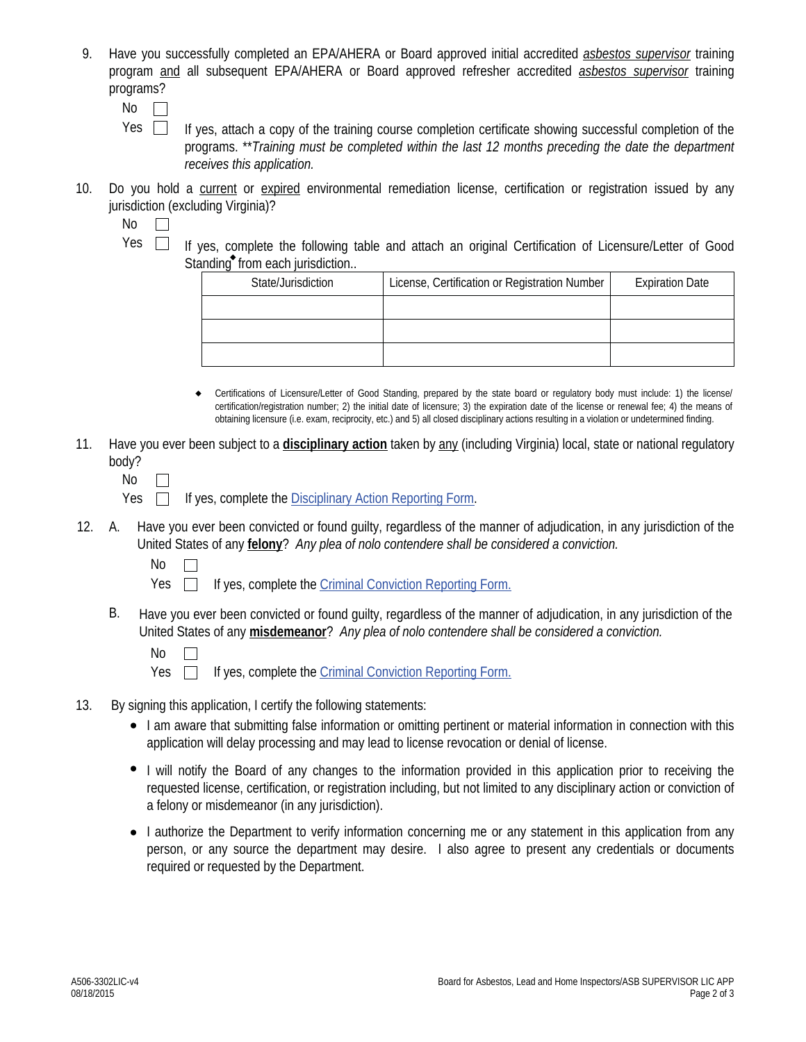- 9. Have you successfully completed an EPA/AHERA or Board approved initial accredited *asbestos supervisor* training program and all subsequent EPA/AHERA or Board approved refresher accredited *asbestos supervisor* training programs?
	- No  $\mathbb{R}^n$
	- If yes, attach a copy of the training course completion certificate showing successful completion of the programs. \*\**Training must be completed within the last 12 months preceding the date the department receives this application.* Yes  $\Box$
- 10. Do you hold a current or expired environmental remediation license, certification or registration issued by any jurisdiction (excluding Virginia)?
	- No  $\Box$
	- Yes  $\Box$  If yes, complete the following table and attach an original Certification of Licensure/Letter of Good Standing<sup>\*</sup> from each jurisdiction...

| State/Jurisdiction | License, Certification or Registration Number | <b>Expiration Date</b> |  |  |
|--------------------|-----------------------------------------------|------------------------|--|--|
|                    |                                               |                        |  |  |
|                    |                                               |                        |  |  |
|                    |                                               |                        |  |  |

- Certifications of Licensure/Letter of Good Standing, prepared by the state board or regulatory body must include: 1) the license/ certification/registration number; 2) the initial date of licensure; 3) the expiration date of the license or renewal fee; 4) the means of obtaining licensure (i.e. exam, reciprocity, etc.) and 5) all closed disciplinary actions resulting in a violation or undetermined finding.  $\bullet$
- 11. Have you ever been subject to a **disciplinary action** taken by any (including Virginia) local, state or national regulatory body?
	- No  $\Box$

Yes  $\Box$  If yes, complete the Disciplinary Action Reporting Form.

- A. Have you ever been convicted or found guilty, regardless of the manner of adjudication, in any jurisdiction of the United States of any **felony**? *Any plea of nolo contendere shall be considered a conviction.* 12.
	- No

Yes  $\Box$ If yes, complete the Criminal Conviction Reporting Form.

B. Have you ever been convicted or found guilty, regardless of the manner of adjudication, in any jurisdiction of the United States of any **misdemeanor**? *Any plea of nolo contendere shall be considered a conviction.*

- 13. By signing this application, I certify the following statements:
	- I am aware that submitting false information or omitting pertinent or material information in connection with this application will delay processing and may lead to license revocation or denial of license.
	- I will notify the Board of any changes to the information provided in this application prior to receiving the requested license, certification, or registration including, but not limited to any disciplinary action or conviction of a felony or misdemeanor (in any jurisdiction).
	- I authorize the Department to verify information concerning me or any statement in this application from any person, or any source the department may desire. I also agree to present any credentials or documents required or requested by the Department.

No  $\Box$ 

Yes  $\Box$ If yes, complete the Criminal Conviction Reporting Form.